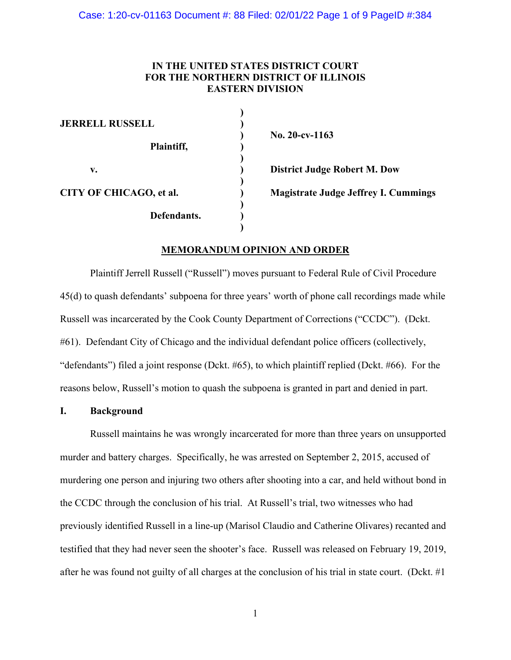## **IN THE UNITED STATES DISTRICT COURT FOR THE NORTHERN DISTRICT OF ILLINOIS EASTERN DIVISION**

| No. $20$ -cv-1163                           |
|---------------------------------------------|
|                                             |
| <b>District Judge Robert M. Dow</b>         |
| <b>Magistrate Judge Jeffrey I. Cummings</b> |
|                                             |
|                                             |

### **MEMORANDUM OPINION AND ORDER**

 Plaintiff Jerrell Russell ("Russell") moves pursuant to Federal Rule of Civil Procedure 45(d) to quash defendants' subpoena for three years' worth of phone call recordings made while Russell was incarcerated by the Cook County Department of Corrections ("CCDC"). (Dckt. #61). Defendant City of Chicago and the individual defendant police officers (collectively, "defendants") filed a joint response (Dckt. #65), to which plaintiff replied (Dckt. #66). For the reasons below, Russell's motion to quash the subpoena is granted in part and denied in part.

#### **I. Background**

 Russell maintains he was wrongly incarcerated for more than three years on unsupported murder and battery charges. Specifically, he was arrested on September 2, 2015, accused of murdering one person and injuring two others after shooting into a car, and held without bond in the CCDC through the conclusion of his trial. At Russell's trial, two witnesses who had previously identified Russell in a line-up (Marisol Claudio and Catherine Olivares) recanted and testified that they had never seen the shooter's face. Russell was released on February 19, 2019, after he was found not guilty of all charges at the conclusion of his trial in state court. (Dckt. #1

1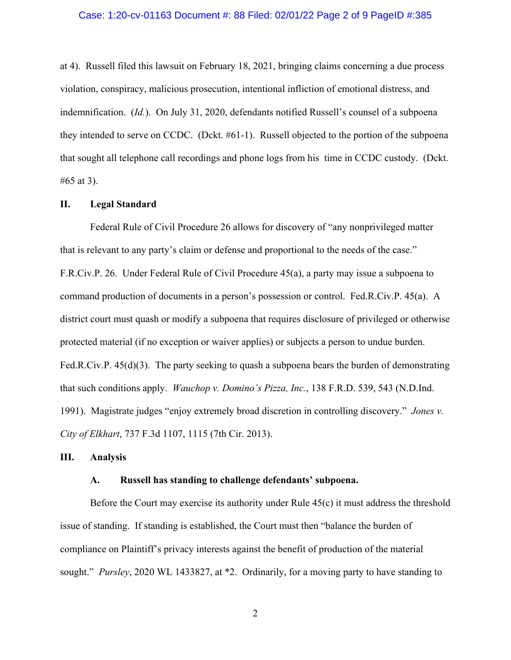### Case: 1:20-cv-01163 Document #: 88 Filed: 02/01/22 Page 2 of 9 PageID #:385

at 4). Russell filed this lawsuit on February 18, 2021, bringing claims concerning a due process violation, conspiracy, malicious prosecution, intentional infliction of emotional distress, and indemnification. (*Id.*). On July 31, 2020, defendants notified Russell's counsel of a subpoena they intended to serve on CCDC. (Dckt. #61-1). Russell objected to the portion of the subpoena that sought all telephone call recordings and phone logs from his time in CCDC custody. (Dckt. #65 at 3).

### **II. Legal Standard**

Federal Rule of Civil Procedure 26 allows for discovery of "any nonprivileged matter that is relevant to any party's claim or defense and proportional to the needs of the case." F.R.Civ.P. 26. Under Federal Rule of Civil Procedure 45(a), a party may issue a subpoena to command production of documents in a person's possession or control. Fed.R.Civ.P. 45(a). A district court must quash or modify a subpoena that requires disclosure of privileged or otherwise protected material (if no exception or waiver applies) or subjects a person to undue burden. Fed.R.Civ.P. 45(d)(3). The party seeking to quash a subpoena bears the burden of demonstrating that such conditions apply. *Wauchop v. Domino's Pizza, Inc.*, 138 F.R.D. 539, 543 (N.D.Ind. 1991). Magistrate judges "enjoy extremely broad discretion in controlling discovery." *Jones v. City of Elkhart*, 737 F.3d 1107, 1115 (7th Cir. 2013).

### **III. Analysis**

#### **A. Russell has standing to challenge defendants' subpoena.**

Before the Court may exercise its authority under Rule 45(c) it must address the threshold issue of standing. If standing is established, the Court must then "balance the burden of compliance on Plaintiff's privacy interests against the benefit of production of the material sought." *Pursley*, 2020 WL 1433827, at \*2. Ordinarily, for a moving party to have standing to

2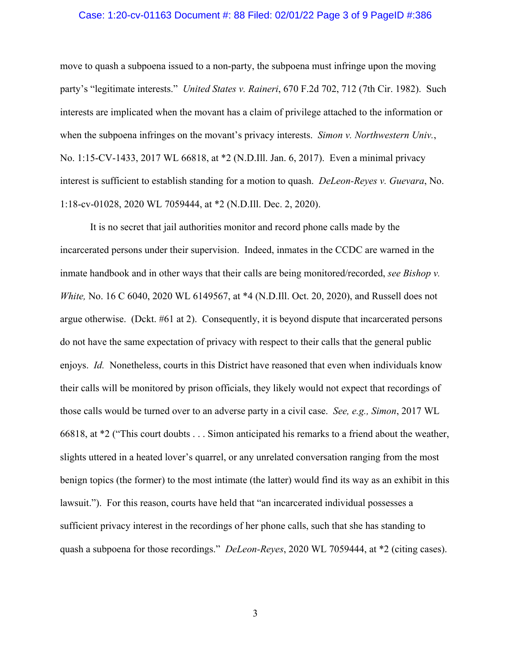### Case: 1:20-cv-01163 Document #: 88 Filed: 02/01/22 Page 3 of 9 PageID #:386

move to quash a subpoena issued to a non-party, the subpoena must infringe upon the moving party's "legitimate interests." *United States v. Raineri*, 670 F.2d 702, 712 (7th Cir. 1982). Such interests are implicated when the movant has a claim of privilege attached to the information or when the subpoena infringes on the movant's privacy interests. *Simon v. Northwestern Univ.*, No. 1:15-CV-1433, 2017 WL 66818, at \*2 (N.D.Ill. Jan. 6, 2017). Even a minimal privacy interest is sufficient to establish standing for a motion to quash. *DeLeon-Reyes v. Guevara*, No. 1:18-cv-01028, 2020 WL 7059444, at \*2 (N.D.Ill. Dec. 2, 2020).

It is no secret that jail authorities monitor and record phone calls made by the incarcerated persons under their supervision. Indeed, inmates in the CCDC are warned in the inmate handbook and in other ways that their calls are being monitored/recorded, *see Bishop v. White, No.* 16 C 6040, 2020 WL 6149567, at \*4 (N.D.Ill. Oct. 20, 2020), and Russell does not argue otherwise. (Dckt. #61 at 2). Consequently, it is beyond dispute that incarcerated persons do not have the same expectation of privacy with respect to their calls that the general public enjoys. *Id.* Nonetheless, courts in this District have reasoned that even when individuals know their calls will be monitored by prison officials, they likely would not expect that recordings of those calls would be turned over to an adverse party in a civil case. *See, e.g., Simon*, 2017 WL 66818, at \*2 ("This court doubts . . . Simon anticipated his remarks to a friend about the weather, slights uttered in a heated lover's quarrel, or any unrelated conversation ranging from the most benign topics (the former) to the most intimate (the latter) would find its way as an exhibit in this lawsuit."). For this reason, courts have held that "an incarcerated individual possesses a sufficient privacy interest in the recordings of her phone calls, such that she has standing to quash a subpoena for those recordings." *DeLeon-Reyes*, 2020 WL 7059444, at \*2 (citing cases).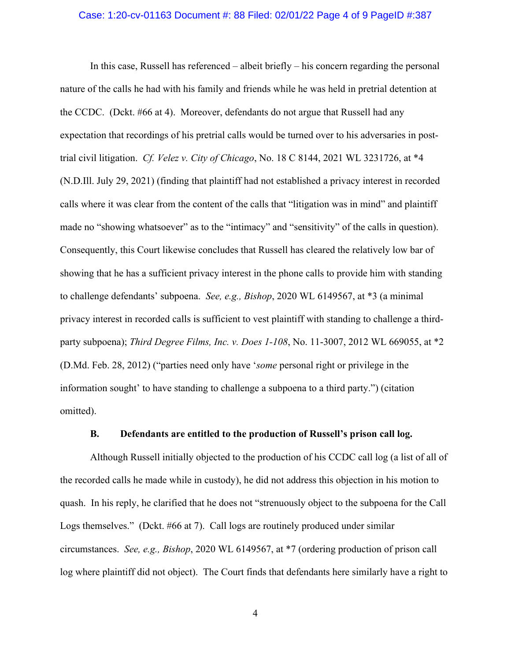### Case: 1:20-cv-01163 Document #: 88 Filed: 02/01/22 Page 4 of 9 PageID #:387

 In this case, Russell has referenced – albeit briefly – his concern regarding the personal nature of the calls he had with his family and friends while he was held in pretrial detention at the CCDC. (Dckt. #66 at 4). Moreover, defendants do not argue that Russell had any expectation that recordings of his pretrial calls would be turned over to his adversaries in posttrial civil litigation. *Cf. Velez v. City of Chicago*, No. 18 C 8144, 2021 WL 3231726, at \*4 (N.D.Ill. July 29, 2021) (finding that plaintiff had not established a privacy interest in recorded calls where it was clear from the content of the calls that "litigation was in mind" and plaintiff made no "showing whatsoever" as to the "intimacy" and "sensitivity" of the calls in question). Consequently, this Court likewise concludes that Russell has cleared the relatively low bar of showing that he has a sufficient privacy interest in the phone calls to provide him with standing to challenge defendants' subpoena. *See, e.g., Bishop*, 2020 WL 6149567, at \*3 (a minimal privacy interest in recorded calls is sufficient to vest plaintiff with standing to challenge a thirdparty subpoena); *Third Degree Films, Inc. v. Does 1-108*, No. 11-3007, 2012 WL 669055, at \*2 (D.Md. Feb. 28, 2012) ("parties need only have '*some* personal right or privilege in the information sought' to have standing to challenge a subpoena to a third party.") (citation omitted).

### **B. Defendants are entitled to the production of Russell's prison call log.**

Although Russell initially objected to the production of his CCDC call log (a list of all of the recorded calls he made while in custody), he did not address this objection in his motion to quash. In his reply, he clarified that he does not "strenuously object to the subpoena for the Call Logs themselves." (Dekt. #66 at 7). Call logs are routinely produced under similar circumstances. *See, e.g., Bishop*, 2020 WL 6149567, at \*7 (ordering production of prison call log where plaintiff did not object). The Court finds that defendants here similarly have a right to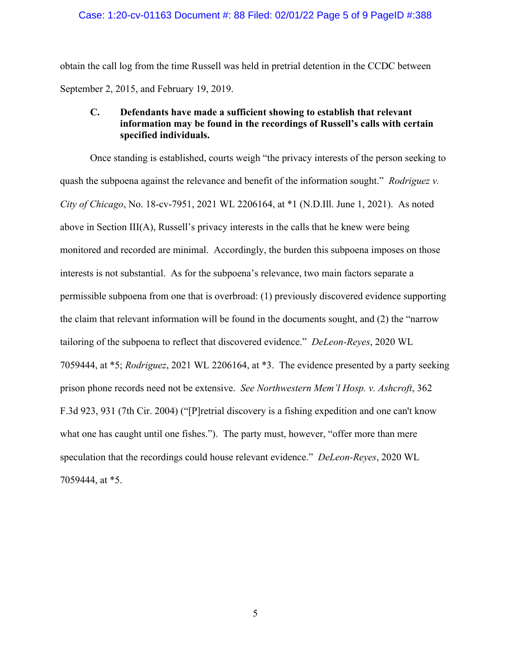obtain the call log from the time Russell was held in pretrial detention in the CCDC between September 2, 2015, and February 19, 2019.

### **C. Defendants have made a sufficient showing to establish that relevant information may be found in the recordings of Russell's calls with certain specified individuals.**

Once standing is established, courts weigh "the privacy interests of the person seeking to quash the subpoena against the relevance and benefit of the information sought." *Rodriguez v. City of Chicago*, No. 18-cv-7951, 2021 WL 2206164, at \*1 (N.D.Ill. June 1, 2021). As noted above in Section III(A), Russell's privacy interests in the calls that he knew were being monitored and recorded are minimal. Accordingly, the burden this subpoena imposes on those interests is not substantial. As for the subpoena's relevance, two main factors separate a permissible subpoena from one that is overbroad: (1) previously discovered evidence supporting the claim that relevant information will be found in the documents sought, and (2) the "narrow tailoring of the subpoena to reflect that discovered evidence." *DeLeon-Reyes*, 2020 WL 7059444, at \*5; *Rodriguez*, 2021 WL 2206164, at \*3. The evidence presented by a party seeking prison phone records need not be extensive. *See Northwestern Mem'l Hosp. v. Ashcroft*, 362 F.3d 923, 931 (7th Cir. 2004) ("[P]retrial discovery is a fishing expedition and one can't know what one has caught until one fishes."). The party must, however, "offer more than mere speculation that the recordings could house relevant evidence." *DeLeon-Reyes*, 2020 WL 7059444, at \*5.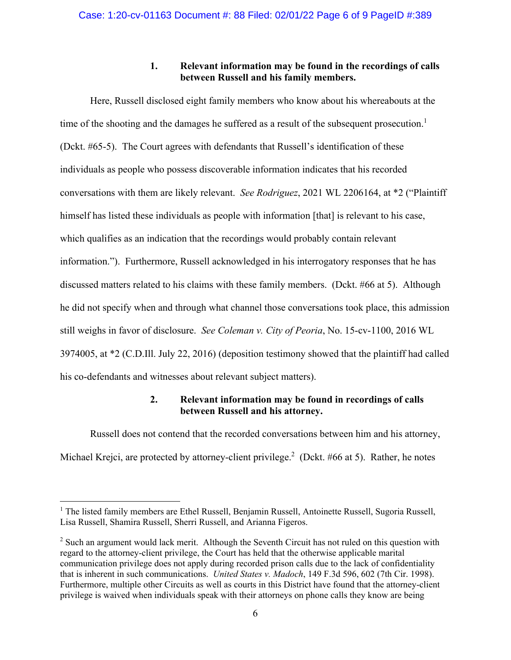## **1. Relevant information may be found in the recordings of calls between Russell and his family members.**

Here, Russell disclosed eight family members who know about his whereabouts at the time of the shooting and the damages he suffered as a result of the subsequent prosecution.<sup>1</sup> (Dckt. #65-5). The Court agrees with defendants that Russell's identification of these individuals as people who possess discoverable information indicates that his recorded conversations with them are likely relevant. *See Rodriguez*, 2021 WL 2206164, at \*2 ("Plaintiff himself has listed these individuals as people with information [that] is relevant to his case, which qualifies as an indication that the recordings would probably contain relevant information."). Furthermore, Russell acknowledged in his interrogatory responses that he has discussed matters related to his claims with these family members. (Dckt. #66 at 5). Although he did not specify when and through what channel those conversations took place, this admission still weighs in favor of disclosure. *See Coleman v. City of Peoria*, No. 15-cv-1100, 2016 WL 3974005, at \*2 (C.D.Ill. July 22, 2016) (deposition testimony showed that the plaintiff had called his co-defendants and witnesses about relevant subject matters).

# **2. Relevant information may be found in recordings of calls between Russell and his attorney.**

Russell does not contend that the recorded conversations between him and his attorney, Michael Krejci, are protected by attorney-client privilege.<sup>2</sup> (Dckt. #66 at 5). Rather, he notes

<sup>&</sup>lt;sup>1</sup> The listed family members are Ethel Russell, Benjamin Russell, Antoinette Russell, Sugoria Russell, Lisa Russell, Shamira Russell, Sherri Russell, and Arianna Figeros.

 $2^{2}$  Such an argument would lack merit. Although the Seventh Circuit has not ruled on this question with regard to the attorney-client privilege, the Court has held that the otherwise applicable marital communication privilege does not apply during recorded prison calls due to the lack of confidentiality that is inherent in such communications. *United States v. Madoch*, 149 F.3d 596, 602 (7th Cir. 1998). Furthermore, multiple other Circuits as well as courts in this District have found that the attorney-client privilege is waived when individuals speak with their attorneys on phone calls they know are being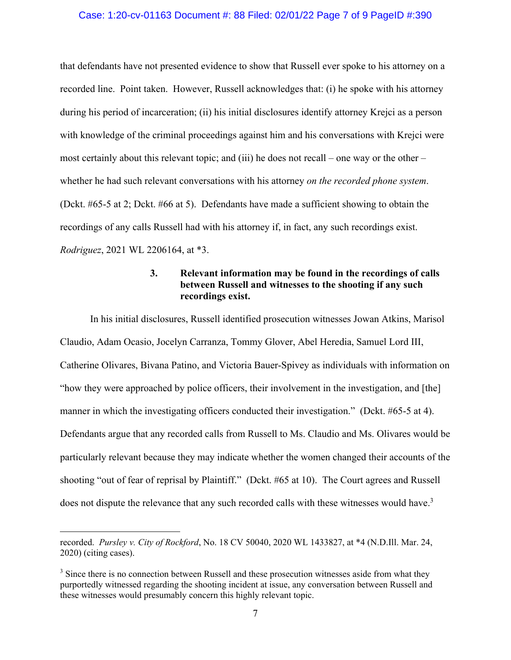### Case: 1:20-cv-01163 Document #: 88 Filed: 02/01/22 Page 7 of 9 PageID #:390

that defendants have not presented evidence to show that Russell ever spoke to his attorney on a recorded line. Point taken. However, Russell acknowledges that: (i) he spoke with his attorney during his period of incarceration; (ii) his initial disclosures identify attorney Krejci as a person with knowledge of the criminal proceedings against him and his conversations with Krejci were most certainly about this relevant topic; and (iii) he does not recall – one way or the other – whether he had such relevant conversations with his attorney *on the recorded phone system*. (Dckt. #65-5 at 2; Dckt. #66 at 5). Defendants have made a sufficient showing to obtain the recordings of any calls Russell had with his attorney if, in fact, any such recordings exist. *Rodriguez*, 2021 WL 2206164, at \*3.

# **3. Relevant information may be found in the recordings of calls between Russell and witnesses to the shooting if any such recordings exist.**

In his initial disclosures, Russell identified prosecution witnesses Jowan Atkins, Marisol Claudio, Adam Ocasio, Jocelyn Carranza, Tommy Glover, Abel Heredia, Samuel Lord III, Catherine Olivares, Bivana Patino, and Victoria Bauer-Spivey as individuals with information on "how they were approached by police officers, their involvement in the investigation, and [the] manner in which the investigating officers conducted their investigation." (Dckt. #65-5 at 4). Defendants argue that any recorded calls from Russell to Ms. Claudio and Ms. Olivares would be particularly relevant because they may indicate whether the women changed their accounts of the shooting "out of fear of reprisal by Plaintiff." (Dckt. #65 at 10). The Court agrees and Russell does not dispute the relevance that any such recorded calls with these witnesses would have.<sup>3</sup>

recorded. *Pursley v. City of Rockford*, No. 18 CV 50040, 2020 WL 1433827, at \*4 (N.D.Ill. Mar. 24, 2020) (citing cases).

 $3$  Since there is no connection between Russell and these prosecution witnesses aside from what they purportedly witnessed regarding the shooting incident at issue, any conversation between Russell and these witnesses would presumably concern this highly relevant topic.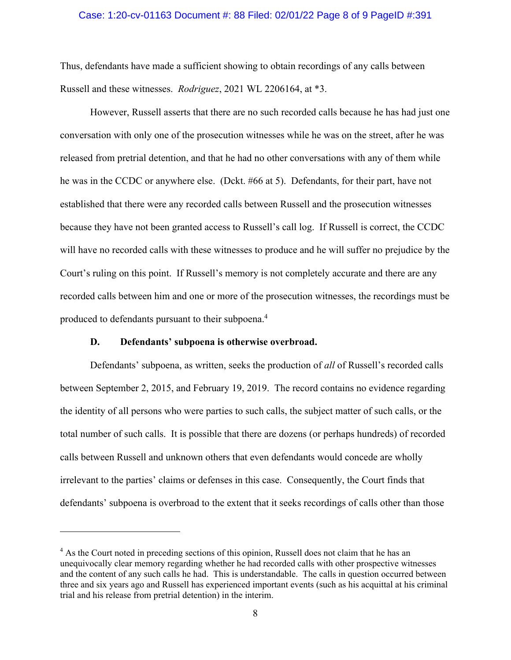### Case: 1:20-cv-01163 Document #: 88 Filed: 02/01/22 Page 8 of 9 PageID #:391

Thus, defendants have made a sufficient showing to obtain recordings of any calls between Russell and these witnesses. *Rodriguez*, 2021 WL 2206164, at \*3.

However, Russell asserts that there are no such recorded calls because he has had just one conversation with only one of the prosecution witnesses while he was on the street, after he was released from pretrial detention, and that he had no other conversations with any of them while he was in the CCDC or anywhere else. (Dckt. #66 at 5). Defendants, for their part, have not established that there were any recorded calls between Russell and the prosecution witnesses because they have not been granted access to Russell's call log. If Russell is correct, the CCDC will have no recorded calls with these witnesses to produce and he will suffer no prejudice by the Court's ruling on this point. If Russell's memory is not completely accurate and there are any recorded calls between him and one or more of the prosecution witnesses, the recordings must be produced to defendants pursuant to their subpoena.<sup>4</sup>

### **D. Defendants' subpoena is otherwise overbroad.**

Defendants' subpoena, as written, seeks the production of *all* of Russell's recorded calls between September 2, 2015, and February 19, 2019. The record contains no evidence regarding the identity of all persons who were parties to such calls, the subject matter of such calls, or the total number of such calls. It is possible that there are dozens (or perhaps hundreds) of recorded calls between Russell and unknown others that even defendants would concede are wholly irrelevant to the parties' claims or defenses in this case. Consequently, the Court finds that defendants' subpoena is overbroad to the extent that it seeks recordings of calls other than those

<sup>&</sup>lt;sup>4</sup> As the Court noted in preceding sections of this opinion, Russell does not claim that he has an unequivocally clear memory regarding whether he had recorded calls with other prospective witnesses and the content of any such calls he had. This is understandable. The calls in question occurred between three and six years ago and Russell has experienced important events (such as his acquittal at his criminal trial and his release from pretrial detention) in the interim.